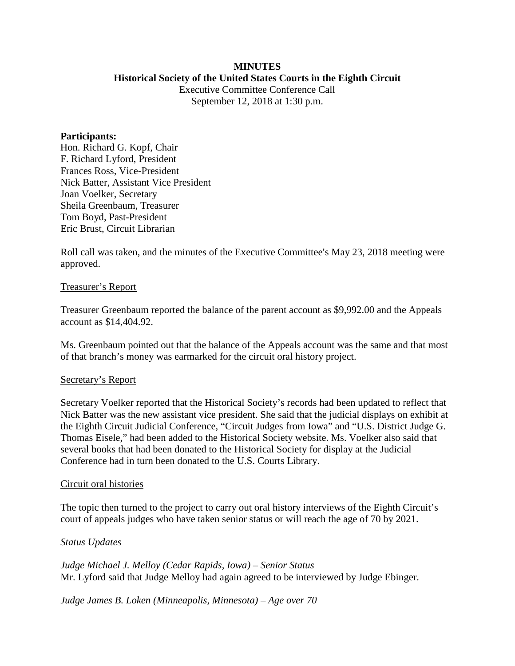# **MINUTES**

### **Historical Society of the United States Courts in the Eighth Circuit**

Executive Committee Conference Call September 12, 2018 at 1:30 p.m.

#### **Participants:**

Hon. Richard G. Kopf, Chair F. Richard Lyford, President Frances Ross, Vice-President Nick Batter, Assistant Vice President Joan Voelker, Secretary Sheila Greenbaum, Treasurer Tom Boyd, Past-President Eric Brust, Circuit Librarian

Roll call was taken, and the minutes of the Executive Committee's May 23, 2018 meeting were approved.

## Treasurer's Report

Treasurer Greenbaum reported the balance of the parent account as \$9,992.00 and the Appeals account as \$14,404.92.

Ms. Greenbaum pointed out that the balance of the Appeals account was the same and that most of that branch's money was earmarked for the circuit oral history project.

## Secretary's Report

Secretary Voelker reported that the Historical Society's records had been updated to reflect that Nick Batter was the new assistant vice president. She said that the judicial displays on exhibit at the Eighth Circuit Judicial Conference, "Circuit Judges from Iowa" and "U.S. District Judge G. Thomas Eisele," had been added to the Historical Society website. Ms. Voelker also said that several books that had been donated to the Historical Society for display at the Judicial Conference had in turn been donated to the U.S. Courts Library.

## Circuit oral histories

The topic then turned to the project to carry out oral history interviews of the Eighth Circuit's court of appeals judges who have taken senior status or will reach the age of 70 by 2021.

## *Status Updates*

*Judge Michael J. Melloy (Cedar Rapids, Iowa) – Senior Status* Mr. Lyford said that Judge Melloy had again agreed to be interviewed by Judge Ebinger.

*Judge James B. Loken (Minneapolis, Minnesota) – Age over 70*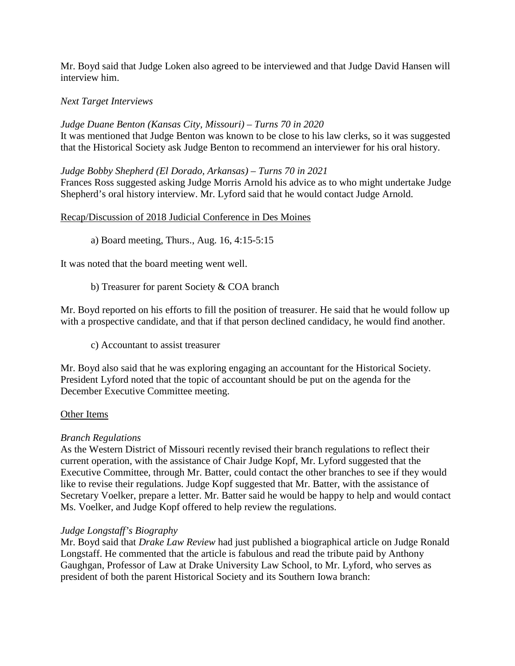Mr. Boyd said that Judge Loken also agreed to be interviewed and that Judge David Hansen will interview him.

# *Next Target Interviews*

*Judge Duane Benton (Kansas City, Missouri) – Turns 70 in 2020* It was mentioned that Judge Benton was known to be close to his law clerks, so it was suggested that the Historical Society ask Judge Benton to recommend an interviewer for his oral history.

*Judge Bobby Shepherd (El Dorado, Arkansas) – Turns 70 in 2021* Frances Ross suggested asking Judge Morris Arnold his advice as to who might undertake Judge Shepherd's oral history interview. Mr. Lyford said that he would contact Judge Arnold.

## Recap/Discussion of 2018 Judicial Conference in Des Moines

a) Board meeting, Thurs., Aug. 16, 4:15-5:15

It was noted that the board meeting went well.

b) Treasurer for parent Society & COA branch

Mr. Boyd reported on his efforts to fill the position of treasurer. He said that he would follow up with a prospective candidate, and that if that person declined candidacy, he would find another.

c) Accountant to assist treasurer

Mr. Boyd also said that he was exploring engaging an accountant for the Historical Society. President Lyford noted that the topic of accountant should be put on the agenda for the December Executive Committee meeting.

## Other Items

## *Branch Regulations*

As the Western District of Missouri recently revised their branch regulations to reflect their current operation, with the assistance of Chair Judge Kopf, Mr. Lyford suggested that the Executive Committee, through Mr. Batter, could contact the other branches to see if they would like to revise their regulations. Judge Kopf suggested that Mr. Batter, with the assistance of Secretary Voelker, prepare a letter. Mr. Batter said he would be happy to help and would contact Ms. Voelker, and Judge Kopf offered to help review the regulations.

## *Judge Longstaff's Biography*

Mr. Boyd said that *Drake Law Review* had just published a biographical article on Judge Ronald Longstaff. He commented that the article is fabulous and read the tribute paid by Anthony Gaughgan, Professor of Law at Drake University Law School, to Mr. Lyford, who serves as president of both the parent Historical Society and its Southern Iowa branch: